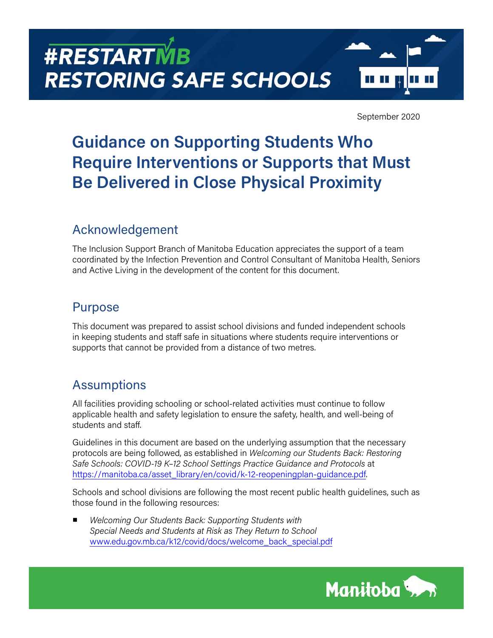# **#RESTARTMB RESTORING SAFE SCHOOLS**



September 2020

## **Guidance on Supporting Students Who Require Interventions or Supports that Must Be Delivered in Close Physical Proximity**

## Acknowledgement

The Inclusion Support Branch of Manitoba Education appreciates the support of a team coordinated by the Infection Prevention and Control Consultant of Manitoba Health, Seniors and Active Living in the development of the content for this document.

## Purpose

This document was prepared to assist school divisions and funded independent schools in keeping students and staff safe in situations where students require interventions or supports that cannot be provided from a distance of two metres.

## **Assumptions**

All facilities providing schooling or school-related activities must continue to follow applicable health and safety legislation to ensure the safety, health, and well-being of students and staff.

Guidelines in this document are based on the underlying assumption that the necessary protocols are being followed, as established in *Welcoming our Students Back: Restoring Safe Schools: COVID-19 K–12 School Settings Practice Guidance and Protocols* at [https://manitoba.ca/asset\\_library/en/covid/k-12-reopeningplan-guidance.pdf](https://manitoba.ca/asset_library/en/covid/k-12-reopeningplan-guidance.pdf).

Schools and school divisions are following the most recent public health guidelines, such as those found in the following resources:

■ *Welcoming Our Students Back: Supporting Students with Special Needs and Students at Risk as They Return to School*  [www.edu.gov.mb.ca/k12/covid/docs/welcome\\_back\\_special.pdf](https://www.edu.gov.mb.ca/k12/covid/docs/welcome_back_special.pdf)

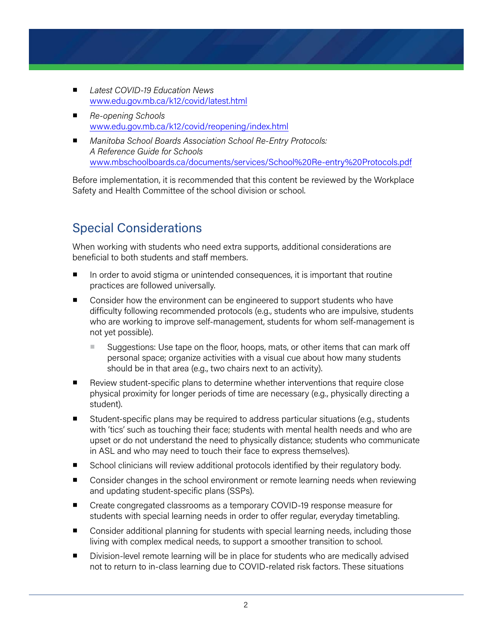- *Latest COVID-19 Education News* [www.edu.gov.mb.ca/k12/covid/latest.html](https://www.edu.gov.mb.ca/k12/covid/latest.html)
- *Re-opening Schools* [www.edu.gov.mb.ca/k12/covid/reopening/index.html](https://www.edu.gov.mb.ca/k12/covid/reopening/index.html)
- *Manitoba School Boards Association School Re-Entry Protocols: A Reference Guide for Schools*  [www.mbschoolboards.ca/documents/services/School%20Re-entry%20Protocols.pdf](http://www.mbschoolboards.ca/documents/services/School%20Re-entry%20Protocols.pdf)

Before implementation, it is recommended that this content be reviewed by the Workplace Safety and Health Committee of the school division or school.

## Special Considerations

When working with students who need extra supports, additional considerations are beneficial to both students and staff members.

- In order to avoid stigma or unintended consequences, it is important that routine practices are followed universally.
- Consider how the environment can be engineered to support students who have difficulty following recommended protocols (e.g., students who are impulsive, students who are working to improve self-management, students for whom self-management is not yet possible).
	- Suggestions: Use tape on the floor, hoops, mats, or other items that can mark off personal space; organize activities with a visual cue about how many students should be in that area (e.g., two chairs next to an activity).
- Review student-specific plans to determine whether interventions that require close physical proximity for longer periods of time are necessary (e.g., physically directing a student).
- Student-specific plans may be required to address particular situations (e.g., students with 'tics' such as touching their face; students with mental health needs and who are upset or do not understand the need to physically distance; students who communicate in ASL and who may need to touch their face to express themselves).
- School clinicians will review additional protocols identified by their regulatory body.
- Consider changes in the school environment or remote learning needs when reviewing and updating student-specific plans (SSPs).
- Create congregated classrooms as a temporary COVID-19 response measure for students with special learning needs in order to offer regular, everyday timetabling.
- Consider additional planning for students with special learning needs, including those living with complex medical needs, to support a smoother transition to school.
- Division-level remote learning will be in place for students who are medically advised not to return to in-class learning due to COVID-related risk factors. These situations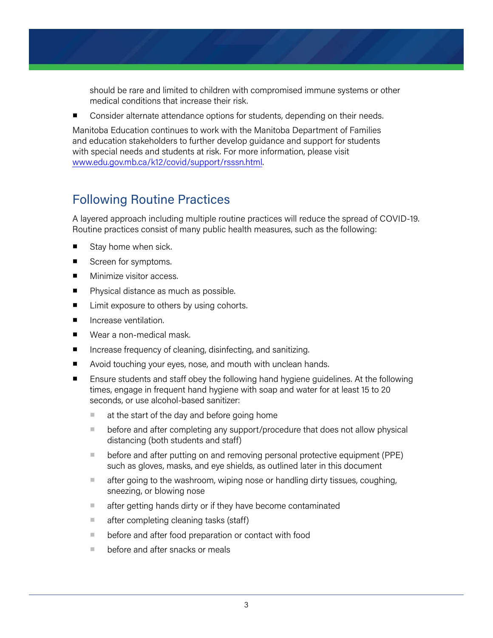should be rare and limited to children with compromised immune systems or other medical conditions that increase their risk.

Consider alternate attendance options for students, depending on their needs.

Manitoba Education continues to work with the Manitoba Department of Families and education stakeholders to further develop guidance and support for students with special needs and students at risk. For more information, please visit [www.edu.gov.mb.ca/k12/covid/support/rsssn.html.](https://www.edu.gov.mb.ca/k12/covid/support/rsssn.html)

## Following Routine Practices

A layered approach including multiple routine practices will reduce the spread of COVID-19. Routine practices consist of many public health measures, such as the following:

- Stay home when sick.
- Screen for symptoms.
- Minimize visitor access.
- Physical distance as much as possible.
- Limit exposure to others by using cohorts.
- Increase ventilation.
- Wear a non-medical mask.
- Increase frequency of cleaning, disinfecting, and sanitizing.
- Avoid touching your eyes, nose, and mouth with unclean hands.
- Ensure students and staff obey the following hand hygiene guidelines. At the following times, engage in frequent hand hygiene with soap and water for at least 15 to 20 seconds, or use alcohol-based sanitizer:
	- at the start of the day and before going home
	- before and after completing any support/procedure that does not allow physical distancing (both students and staff)
	- before and after putting on and removing personal protective equipment (PPE) such as gloves, masks, and eye shields, as outlined later in this document
	- after going to the washroom, wiping nose or handling dirty tissues, coughing, sneezing, or blowing nose
	- after getting hands dirty or if they have become contaminated
	- after completing cleaning tasks (staff)
	- before and after food preparation or contact with food
	- before and after snacks or meals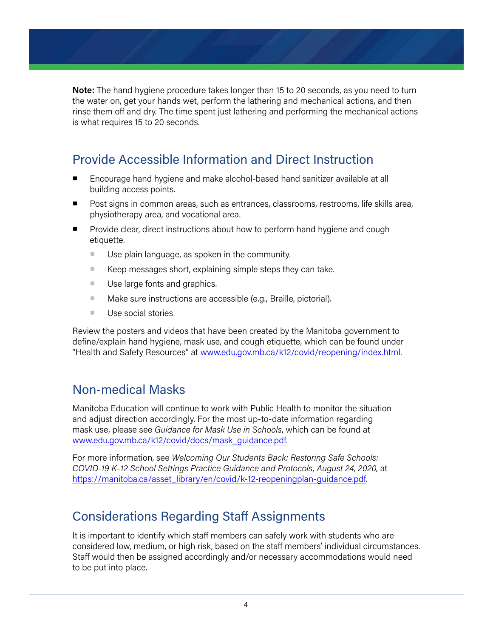**Note:** The hand hygiene procedure takes longer than 15 to 20 seconds, as you need to turn the water on, get your hands wet, perform the lathering and mechanical actions, and then rinse them off and dry. The time spent just lathering and performing the mechanical actions is what requires 15 to 20 seconds.

## Provide Accessible Information and Direct Instruction

- Encourage hand hygiene and make alcohol-based hand sanitizer available at all building access points.
- Post signs in common areas, such as entrances, classrooms, restrooms, life skills area, physiotherapy area, and vocational area.
- Provide clear, direct instructions about how to perform hand hygiene and cough etiquette.
	- Use plain language, as spoken in the community.
	- Keep messages short, explaining simple steps they can take.
	- Use large fonts and graphics.
	- Make sure instructions are accessible (e.g., Braille, pictorial).
	- Use social stories.

Review the posters and videos that have been created by the Manitoba government to define/explain hand hygiene, mask use, and cough etiquette, which can be found under "Health and Safety Resources" at [www.edu.gov.mb.ca/k12/covid/reopening/i](https://www.edu.gov.mb.ca/k12/covid/reopening/index.html)ndex.html.

### Non-medical Masks

Manitoba Education will continue to work with Public Health to monitor the situation and adjust direction accordingly. For the most up-to-date information regarding mask use, please see *Guidance for Mask Use in Schools*, which can be found at [www.edu.gov.mb.ca/k12/covid/docs/mask\\_guidance.pdf.](https://www.edu.gov.mb.ca/k12/covid/docs/mask_guidance.pdf)

For more information, see *Welcoming Our Students Back: Restoring Safe Schools: COVID-19 K–12 School Settings Practice Guidance and Protocols, August 24, 2020,* at [https://manitoba.ca/asset\\_library/en/covid/k-12-reopeningplan-guidance.pdf](https://manitoba.ca/asset_library/en/covid/k-12-reopeningplan-guidance.pdf).

## Considerations Regarding Staff Assignments

It is important to identify which staff members can safely work with students who are considered low, medium, or high risk, based on the staff members' individual circumstances. Staff would then be assigned accordingly and/or necessary accommodations would need to be put into place.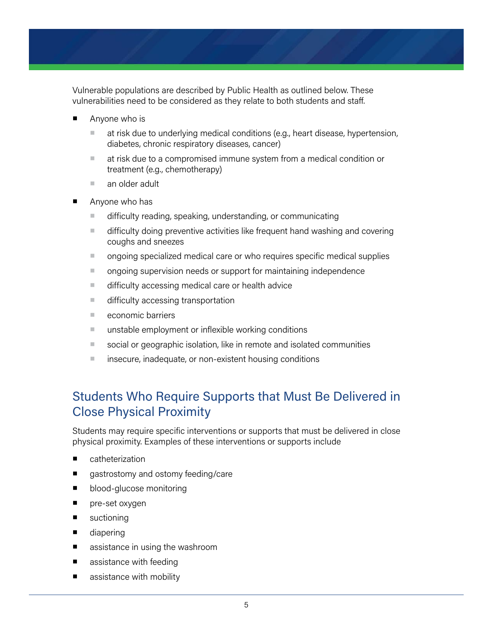Vulnerable populations are described by Public Health as outlined below. These vulnerabilities need to be considered as they relate to both students and staff.

- Anyone who is
	- at risk due to underlying medical conditions (e.g., heart disease, hypertension, diabetes, chronic respiratory diseases, cancer)
	- at risk due to a compromised immune system from a medical condition or treatment (e.g., chemotherapy)
	- an older adult
- Anyone who has
	- difficulty reading, speaking, understanding, or communicating
	- difficulty doing preventive activities like frequent hand washing and covering coughs and sneezes
	- ongoing specialized medical care or who requires specific medical supplies
	- ongoing supervision needs or support for maintaining independence
	- difficulty accessing medical care or health advice
	- difficulty accessing transportation
	- economic barriers
	- unstable employment or inflexible working conditions
	- social or geographic isolation, like in remote and isolated communities
	- insecure, inadequate, or non-existent housing conditions

## Students Who Require Supports that Must Be Delivered in Close Physical Proximity

Students may require specific interventions or supports that must be delivered in close physical proximity. Examples of these interventions or supports include

- catheterization
- gastrostomy and ostomy feeding/care
- blood-glucose monitoring
- pre-set oxygen
- suctioning
- diapering
- assistance in using the washroom
- assistance with feeding
- assistance with mobility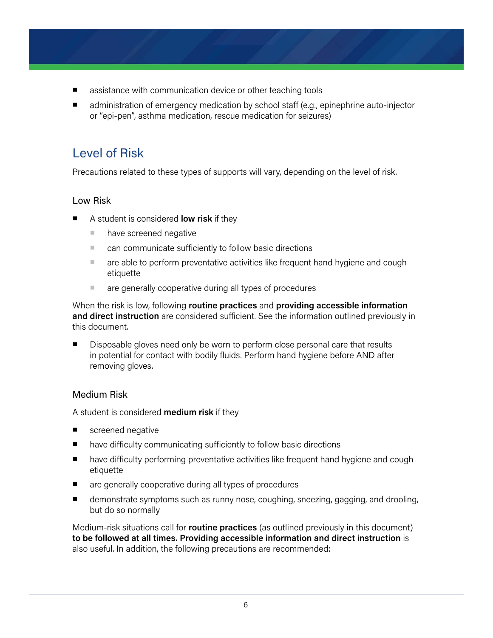- assistance with communication device or other teaching tools
- administration of emergency medication by school staff (e.g., epinephrine auto-injector or "epi-pen", asthma medication, rescue medication for seizures)

## Level of Risk

Precautions related to these types of supports will vary, depending on the level of risk.

#### Low Risk

- A student is considered **low risk** if they
	- have screened negative
	- can communicate sufficiently to follow basic directions
	- are able to perform preventative activities like frequent hand hygiene and cough etiquette
	- are generally cooperative during all types of procedures

When the risk is low, following **routine practices** and **providing accessible information and direct instruction** are considered sufficient. See the information outlined previously in this document.

■ Disposable gloves need only be worn to perform close personal care that results in potential for contact with bodily fluids. Perform hand hygiene before AND after removing gloves.

#### Medium Risk

A student is considered **medium risk** if they

- screened negative
- have difficulty communicating sufficiently to follow basic directions
- have difficulty performing preventative activities like frequent hand hygiene and cough etiquette
- are generally cooperative during all types of procedures
- demonstrate symptoms such as runny nose, coughing, sneezing, gagging, and drooling, but do so normally

Medium-risk situations call for **routine practices** (as outlined previously in this document) **to be followed at all times. Providing accessible information and direct instruction** is also useful. In addition, the following precautions are recommended: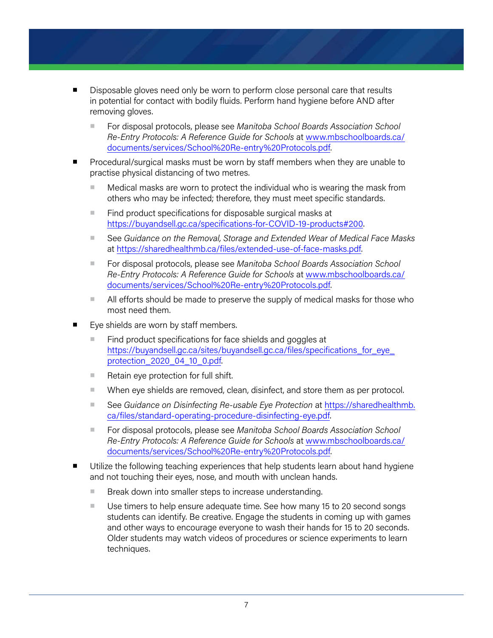- Disposable gloves need only be worn to perform close personal care that results in potential for contact with bodily fluids. Perform hand hygiene before AND after removing gloves.
	- For disposal protocols, please see *Manitoba School Boards Association School Re-Entry Protocols: A Reference Guide for Schools* at [www.mbschoolboards.ca/](http://www.mbschoolboards.ca/documents/services/School%20Re-entry%20Protocols.pdf) [documents/services/School%20Re-entry%20Protocols.pdf](http://www.mbschoolboards.ca/documents/services/School%20Re-entry%20Protocols.pdf).
- Procedural/surgical masks must be worn by staff members when they are unable to practise physical distancing of two metres.
	- Medical masks are worn to protect the individual who is wearing the mask from others who may be infected; therefore, they must meet specific standards.
	- Find product specifications for disposable surgical masks at <https://buyandsell.gc.ca/specifications-for-COVID-19-products#200>.
	- See *Guidance on the Removal, Storage and Extended Wear of Medical Face Masks* at [https://sharedhealthmb.ca/files/extended-use-of-face-masks.pdf.](https://sharedhealthmb.ca/files/extended-use-of-face-masks.pdf)
	- For disposal protocols, please see *Manitoba School Boards Association School Re-Entry Protocols: A Reference Guide for Schools* at [www.mbschoolboards.ca/](http://www.mbschoolboards.ca/documents/services/School%20Re-entry%20Protocols.pdf) [documents/services/School%20Re-entry%20Protocols.pdf](http://www.mbschoolboards.ca/documents/services/School%20Re-entry%20Protocols.pdf).
	- All efforts should be made to preserve the supply of medical masks for those who most need them.
- Eye shields are worn by staff members.
	- Find product specifications for face shields and goggles at https://buyandsell.gc.ca/sites/buyandsell.gc.ca/files/specifications\_for\_eye [protection\\_2020\\_04\\_10\\_0.pdf.](https://buyandsell.gc.ca/sites/buyandsell.gc.ca/files/specifications_for_eye_protection_2020_04_10_0.pdf)
	- Retain eye protection for full shift.
	- When eye shields are removed, clean, disinfect, and store them as per protocol.
	- See *Guidance on Disinfecting Re-usable Eye Protection* at [https://sharedhealthmb.](https://sharedhealthmb.ca/files/standard-operating-procedure-disinfecting-eye.pdf) [ca/files/standard-operating-procedure-disinfecting-eye.pdf.](https://sharedhealthmb.ca/files/standard-operating-procedure-disinfecting-eye.pdf)
	- For disposal protocols, please see *Manitoba School Boards Association School Re-Entry Protocols: A Reference Guide for Schools* at [www.mbschoolboards.ca/](http://www.mbschoolboards.ca/documents/services/School%20Re-entry%20Protocols.pdf) [documents/services/School%20Re-entry%20Protocols.pdf](http://www.mbschoolboards.ca/documents/services/School%20Re-entry%20Protocols.pdf).
- Utilize the following teaching experiences that help students learn about hand hygiene and not touching their eyes, nose, and mouth with unclean hands.
	- Break down into smaller steps to increase understanding.
	- Use timers to help ensure adequate time. See how many 15 to 20 second songs students can identify. Be creative. Engage the students in coming up with games and other ways to encourage everyone to wash their hands for 15 to 20 seconds. Older students may watch videos of procedures or science experiments to learn techniques.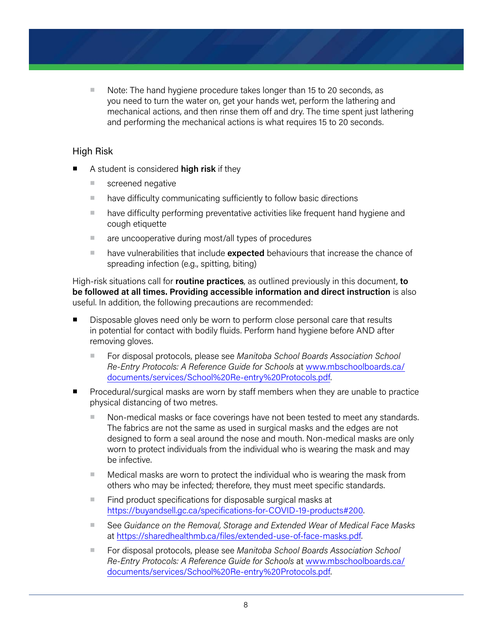■ Note: The hand hygiene procedure takes longer than 15 to 20 seconds, as you need to turn the water on, get your hands wet, perform the lathering and mechanical actions, and then rinse them off and dry. The time spent just lathering and performing the mechanical actions is what requires 15 to 20 seconds.

#### High Risk

- A student is considered **high risk** if they
	- screened negative
	- have difficulty communicating sufficiently to follow basic directions
	- have difficulty performing preventative activities like frequent hand hygiene and cough etiquette
	- are uncooperative during most/all types of procedures
	- have vulnerabilities that include **expected** behaviours that increase the chance of spreading infection (e.g., spitting, biting)

High-risk situations call for **routine practices**, as outlined previously in this document, **to be followed at all times. Providing accessible information and direct instruction** is also useful. In addition, the following precautions are recommended:

- Disposable gloves need only be worn to perform close personal care that results in potential for contact with bodily fluids. Perform hand hygiene before AND after removing gloves.
	- For disposal protocols, please see *Manitoba School Boards Association School Re-Entry Protocols: A Reference Guide for Schools* at [www.mbschoolboards.ca/](http://www.mbschoolboards.ca/documents/services/School%20Re-entry%20Protocols.pdf) [documents/services/School%20Re-entry%20Protocols.pdf](http://www.mbschoolboards.ca/documents/services/School%20Re-entry%20Protocols.pdf).
- Procedural/surgical masks are worn by staff members when they are unable to practice physical distancing of two metres.
	- Non-medical masks or face coverings have not been tested to meet any standards. The fabrics are not the same as used in surgical masks and the edges are not designed to form a seal around the nose and mouth. Non-medical masks are only worn to protect individuals from the individual who is wearing the mask and may be infective.
	- Medical masks are worn to protect the individual who is wearing the mask from others who may be infected; therefore, they must meet specific standards.
	- Find product specifications for disposable surgical masks at <https://buyandsell.gc.ca/specifications-for-COVID-19-products#200>.
	- See Guidance on the Removal, Storage and Extended Wear of Medical Face Masks at [https://sharedhealthmb.ca/files/extended-use-of-face-masks.pdf.](https://sharedhealthmb.ca/files/extended-use-of-face-masks.pdf)
	- For disposal protocols, please see *Manitoba School Boards Association School Re-Entry Protocols: A Reference Guide for Schools* at [www.mbschoolboards.ca/](http://www.mbschoolboards.ca/documents/services/School%20Re-entry%20Protocols.pdf) [documents/services/School%20Re-entry%20Protocols.pdf](http://www.mbschoolboards.ca/documents/services/School%20Re-entry%20Protocols.pdf).